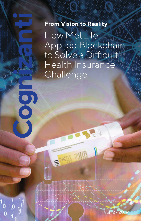# **From Vision to Reality**

8

How MetLife Applied Blockchain to Solve a Difficult Health Insurance<sup></sup> **Challenge** 

Vol 12 • 2019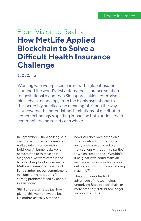# **How MetLife Applied Blockchain to Solve a Difficult Health Insurance Challenge** From Vision to Reality

#### By Zia Zaman

Working with well-placed partners, the global insurer launched the world's first automated insurance solution for gestational diabetes in Singapore, taking enterprise blockchain technology from the highly aspirational to the incredibly practical and meaningful. Along the way, it uncovered the potential, and limitations, of distributed ledger technology's uplifting impact on both underserved communities and society as a whole.

In September 2016, a colleague in our innovation center LumenLab walked into my office with a bold idea. At LumenLab, we're accustomed to this; based in Singapore, we were established to build disruptive businesses for MetLife. "Lumen," a measure of light, symbolizes our commitment to illuminating new paths for solving problems faced by people in Asia today.

Still, I underestimated just how pivotal this moment would be. He enthusiastically pitched a

new insurance idea based on a smart contract (contracts that verify and carry out credible transactions without third parties), to which I responded, "Wouldn't it be great if we could make an insurance payout as effortless as getting a soft drink from a vending machine?"

This ambitious idea took advantage of the technology underlying Bitcoin: blockchain, or more precisely, distributed ledger technology (DLT).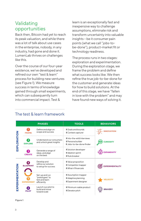## Validating opportunities

Back then, Bitcoin had yet to reach its peak valuation, and while there was a lot of talk about use cases in the enterprise, nobody, in any industry, had gone and done it. LumenLab thrives on challenges like this.

Over the course of our four-year existence, we've developed and refined our own "test & learn" process for building new ventures (see Figure 1). We measure success in terms of knowledge gained through small experiments, which can subsequently turn into commercial impact. Test &

learn is an exceptionally fast and inexpensive way to challenge assumptions, eliminate risk and transform uncertainty into valuable insights – be it consumer pain points (what we call "jobs-tobe-done"), product-market fit or technology readiness.

The process runs in two stages: exploration and experimentation. During the exploration stage, we frame the problem and define what success looks like. We then refine the true job-to-be-done for the customer and generate ideas for how to build solutions. At the end of this stage, we have "fallen in love with the problem" and may have found new ways of solving it.

### The test & learn framework

|                 |                     | <b>PHASES</b>                                                      | <b>TOOLS</b>                                                                      | <b>BEHAVIORS</b>       |
|-----------------|---------------------|--------------------------------------------------------------------|-----------------------------------------------------------------------------------|------------------------|
| EXPLORATION     | <b>FRAME</b>        | Define and align on<br>scope and success                           | I Goals and bounds<br>I Context capturer                                          | <b>NNOVATION</b>       |
|                 | 2<br><b>EXPLORE</b> | Understand our consumers<br>and unlock great insights              | I Into-the-wild interviews<br><b>I</b> Persona builder<br>LJobs-to-be-done finder | <b>CURIOSITY</b>       |
|                 | 3<br><b>CREATE</b>  | Generate a range of<br>ideas, and align<br>on the best             | <b>I</b> Solution developer<br>I Ideation sprint<br>Rule breaker                  | <b>PANSIVITY</b>       |
| EXPERIMENTATION | <b>BLUEPRINT</b>    | Develop and<br>refine our solution<br>to setup for success         | I Value proposition<br>I Competitor mapper<br>I What-if financials                | <b>EXPERIMENTALITY</b> |
|                 | <b>EXPERIMENT</b>   | Set-up and run<br>"pretotypes" to<br>test and learn<br>efficiently | Assumption mapper<br>I Adaptive planning<br><b>I</b> Experiment designer          | <b>ELOCITY</b>         |
|                 | <b>PILOT</b>        | Launch our pilot to<br>build and move<br>toward scale              | Minimum viable product<br><b>I</b> Elevator pitch                                 | <b>BRAVERY</b>         |

**Figure 1**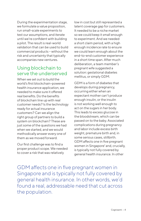During the experimentation stage, we formulate a value proposition, run small-scale experiments to test our assumptions, and iterate until we're confident with building a pilot. The result is real-world validation that can be used to build commercial products – without the risk and uncertainty that typically accompanies new ventures.

## Using blockchain to serve the underserved

When we set out to build the world's first blockchain-powered health insurance application, we needed to make sure it offered real benefits. Do the benefits of blockchain line up with real customer needs? Is the technology ready for actual insurance customers? Can we align the right group of partners to build a system on blockchain? These are just some of the questions we had when we started, and we would methodically answer every one of them as we moved forward.

Our first challenge was to find a proper product scope. We needed to cover a risk that was relatively

low in cost but still represented a latent coverage gap for customers. It needed to be a niche market so we could keep it small enough to experiment. And we needed a short claim period, with a high enough incidence rate to ensure we could learn enough about the end-to-end customer experience in a short time span. After much deliberation, a team member's pregnant wife suggested a solution: gestational diabetes mellitus, or simply GDM.

GDM is a form of diabetes that develops during pregnancy, occurring either when an expectant mother can't produce enough insulin, or the insulin is not working well enough to act on the sugars in her body. This leads to excess glucose in the bloodstream, which can be passed on to the baby. Associated complications during pregnancy and labor include excess birth weight, premature birth and, in some serious cases, stillbirth. GDM affects one in five pregnant women in Singapore<sup>1</sup> and, crucially, is typically not fully covered by general health insurance. In other

GDM affects one in five pregnant women in Singapore and is typically not fully covered by general health insurance. In other words, we'd found a real, addressable need that cut across the population.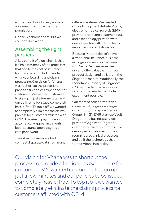words, we'd found a real, addressable need that cut across the population.

Hence, Vitana was born. But we couldn't do it alone.

## Assembling the right partners

A key benefit of blockchain is that it eliminates many of the processes that add to the cost of insurance for customers – including underwriting, onboarding and claims processing. Our vision for Vitana was to shortcut the process to provide a frictionless experience for customers. We wanted customers to sign up in just a few minutes and our policies to be issued completely hassle-free. To top it off, we wanted to completely eliminate the claims process for customers afflicted with GDM. This meant payouts would automatically appear in patients' bank accounts upon diagnosis – zero paperwork.

To realize this vision, we had to connect disparate data from many different systems. We needed clinics to help us distribute Vitana, electronic medical records (EMR) providers to record customer data, and a technology provider with deep expertise with DLT to help us implement our ambitious plans.

Because MetLife doesn't have a traditional insurance business in Singapore, we also partnered with Swiss Re to reinsure the risk and offer valuable insight on product design and delivery in the Singapore market. Additionally, the Monetary Authority of Singapore (MAS) provided the regulatory sandbox that made the whole experiment possible.

Our team of collaborators also consisted of Singapore's largest clinic group, Singapore Medical Group (SMG), EMR start-up Vault Dragon, and business services provider Cognizant. Together – over the course of six months – we developed a customer journey, reengineered clinical processes and built the technology that turned Vitana into reality.

Our vision for Vitana was to shortcut the process to provide a frictionless experience for customers. We wanted customers to sign up in just a few minutes and our policies to be issued completely hassle-free. To top it off, we wanted to completely eliminate the claims process for customers afflicted with GDM.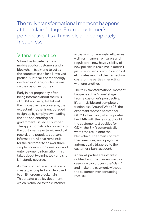The truly transformational moment happens at the "claim" stage. From a customer's perspective, it's all invisible and completely frictionless.

## Vitana in practice

Vitana has two elements: a mobile app for customers and a blockchain back-end to act as the source of truth for all involved parties. But for all the technology involved in Vitana, our focus was on the customer journey.

Early in her pregnancy, after being informed about the risks of GDM and being told about the innovative new coverage, the expectant mother is encouraged to sign up by simply downloading the app and entering her government-issued ID number. The app automatically connects to the customer's electronic medical records and populates personal information. All that remains is for the customer to answer three simple underwriting questions and enter payment information. This takes about two minutes – and she is instantly covered.

A smart contract is automatically created, encrypted and deployed to an Ethereum blockchain. This creates a policy document, which is emailed to the customer

virtually simultaneously. All parties – clinics, insurers, reinsurers and regulators – now have visibility of new policies in real time. It doesn't just strengthen communications; it eliminates much of the transaction costs for the parties interacting with one another.

The truly transformational moment happens at the "claim" stage. From a customer's perspective, it's all invisible and completely frictionless. Around Week 25, the expectant mother is tested for GDM by her clinic, which updates her EMR with the results. Should the customer test positive for GDM, the EMR automatically writes the result onto the blockchain. The smart contract then executes, and a payout is automatically triggered to the customer's bank account.

Again, all parties are instantly notified, and the insurers – in this case, us – can process the "claim" and make the payment, without the customer ever contacting MetLife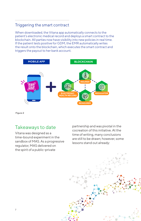### Triggering the smart contract

When downloaded, the Vitana app automatically connects to the patient's electronic medical record and deploys a smart contract to the blockchain. All parties now have visibility into new policies in real time. If the patient tests positive for GDM, the EMR automatically writes the result onto the blockchain, which executes the smart contract and triggers the payout to her bank account.



**Figure 2**

## Takeaways to date

Vitana was designed as a time-bound experiment in the sandbox of MAS. As a progressive regulator, MAS delivered on the spirit of a public-private

partnership and was pivotal in the cocreation of this initiative. At the time of writing, many conclusions are still to be drawn; however, some lessons stand out already:

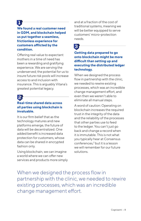**We found a real customer need in GDM, and blockchain helped us put together a seamless, frictionless experience for customers afflicted by the condition.**

Offering real value to expectant mothers in a time of need has been a rewarding and gratifying experience. We are serving the underserved; the potential for us to insure future risk pools will increase access to and inclusion with insurance. This is arguably Vitana's greatest potential legacy.

# <u>|2</u>

### **Real-time shared data across all parties using blockchain is invaluable.**

It is our firm belief that as the technology matures and new platforms emerge, the future of data will be decentralized. One added benefit is increased data protection for customers, whose data can be shared in encrypted fashion only.

Using blockchain, we can imagine a world where we can offer new services and products more simply and at a fraction of the cost of traditional systems, meaning we will be better equipped to serve customers' micro-protection needs.

# 3

**Getting data prepared to go onto blockchain might be more difficult than setting up and executing the distributed ledger technology.**

When we designed the process flow in partnership with the clinic, we needed to rewire existing processes, which was an incredible change management effort, and even then we weren't able to eliminate all manual steps.

A word of caution: Operating on blockchain increases the required trust in the integrity of the data and the reliability of the processes that other parties use to feed to the ledger. You can't just go back and change a record when it is immutable. This is not what you typically hear at Consensus conferences,2 but it is a lesson we will remember for our future solutions.

When we designed the process flow in partnership with the clinic, we needed to rewire existing processes, which was an incredible change management effort.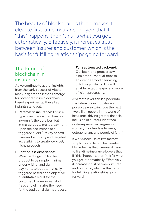The beauty of blockchain is that it makes it clear to first-time insurance buyers that if "this" happens, then "this" is what you get, automatically. Effectively, it increases trust between insurer and customer, which is the basis for fulfilling relationships going forward.

## The future of blockchain in insurance

As we continue to gather insights from the early success of Vitana, many insights and lessons emerge for potential future blockchainbased experiments. These key insights stand out:

- ❙ **Parametric insurance:** This is a type of insurance that does not indemnify the pure loss, but *ex ante* agrees to make a payment upon the occurrence of a triggered event.<sup>3</sup> Its key benefit is around simplicity and targeted accessibility to create low-cost, niche products.
- ❙ **Frictionless experience:**

We expect sign-up for the product to be simple (minimal underwriting) and claim payments to be automatically triggered based on an objective, quantitative result for the customer. This reduces risk of fraud and eliminates the need for the traditional claims process. ❙ **Fully automated back-end:** Our back-end processes will eliminate all manual steps to ensure the smooth servicing of future products. This will enable faster, cheaper and more efficient processing.

At a meta level, this is a peek into the future of our industry and possibly a way to include the next two billion people in the world of insurance, driving greater financial inclusion of our four identified underrepresented segments: women, middle-class farmers, octogenarians and people of faith.4

It works because of two factors: simplicity and trust. The beauty of blockchain is that it makes it clear to first-time insurance buyers that if "this" happens, then "this" is what you get, automatically. Effectively, it increases trust between insurer and customer, which is the basis for fulfilling relationships going forward.